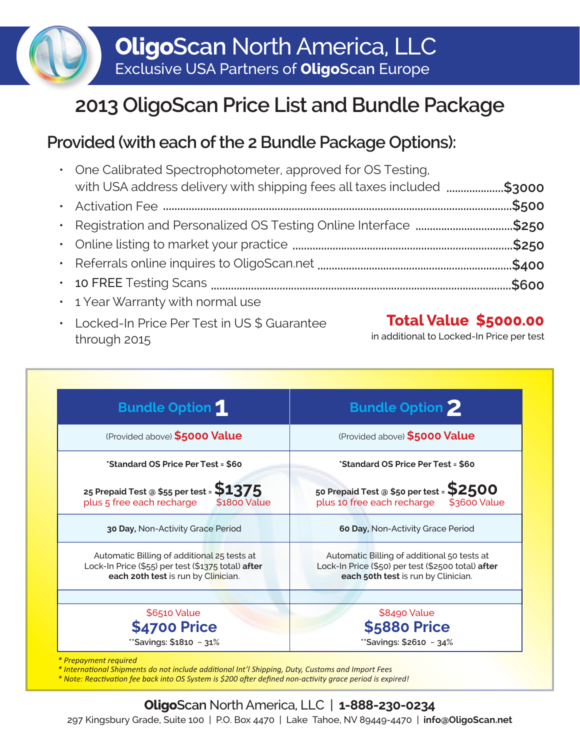## **2013 OligoScan Price List and Bundle Package**

## **Provided (with each of the 2 Bundle Package Options):**

| • One Calibrated Spectrophotometer, approved for OS Testing,           |  |
|------------------------------------------------------------------------|--|
| with USA address delivery with shipping fees all taxes included \$3000 |  |
|                                                                        |  |
| • Registration and Personalized OS Testing Online Interface \$250      |  |
|                                                                        |  |
|                                                                        |  |
|                                                                        |  |
| • 1 Year Warranty with normal use                                      |  |

Locked-In Price Per Test in US \$ Guarantee through 2015

## **Total Value \$5000.00**

in additional to Locked-In Price per test

| <b>Bundle Option 1</b>                                                                                                                   | <b>Bundle Option 2</b>                                                                                                                   |  |  |  |
|------------------------------------------------------------------------------------------------------------------------------------------|------------------------------------------------------------------------------------------------------------------------------------------|--|--|--|
| (Provided above) \$5000 Value                                                                                                            | (Provided above) \$5000 Value                                                                                                            |  |  |  |
| *Standard OS Price Per Test = \$60                                                                                                       | *Standard OS Price Per Test = \$60                                                                                                       |  |  |  |
| 25 Prepaid Test @ \$55 per test = $$1375$<br>plus 5 free each recharge<br><b>\$1800 Value</b>                                            | 50 Prepaid Test @ \$50 per test = $$2500$<br>plus 10 free each recharge<br>\$3600 Value                                                  |  |  |  |
| 30 Day, Non-Activity Grace Period                                                                                                        | 60 Day, Non-Activity Grace Period                                                                                                        |  |  |  |
| Automatic Billing of additional 25 tests at<br>Lock-In Price (\$55) per test (\$1375 total) after<br>each 20th test is run by Clinician. | Automatic Billing of additional 50 tests at<br>Lock-In Price (\$50) per test (\$2500 total) after<br>each 50th test is run by Clinician. |  |  |  |
| \$6510 Value<br><b>\$4700 Price</b>                                                                                                      | \$8490 Value<br><b>\$5880 Price</b>                                                                                                      |  |  |  |
| **Savings: \$1810 ~ 31%                                                                                                                  | **Savings: \$2610 ~ 34%                                                                                                                  |  |  |  |

*\* International Shipments do not include additional Int'l Shipping, Duty, Customs and Import Fees*

*\* Note: Reactivation fee back into OS System is \$200 after defined non-activity grace period is expired!*

**OligoScan** North America, LLC | **1-888-230-0234** 297 Kingsbury Grade, Suite 100 | P.O. Box 4470 | Lake Tahoe, NV 89449-4470 | **info@OligoScan.net**